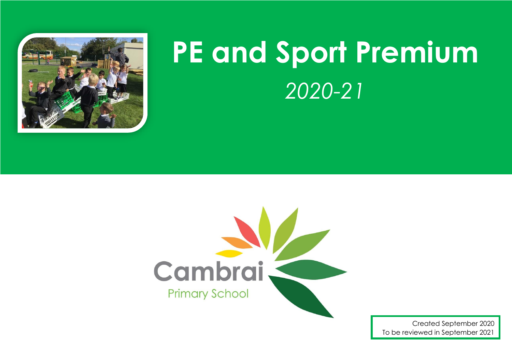

## **PE and Sport Premium** *2020-21*



Created September 2020 To be reviewed in September 2021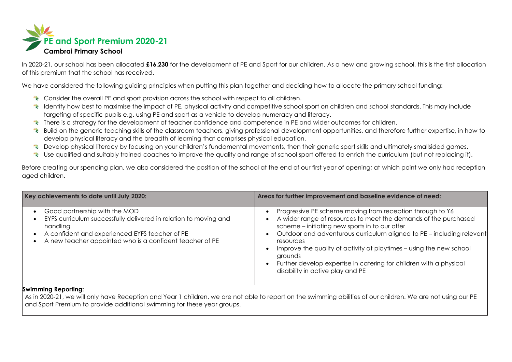

In 2020-21, our school has been allocated **£16,230** for the development of PE and Sport for our children. As a new and growing school, this is the first allocation of this premium that the school has received.

We have considered the following quiding principles when putting this plan together and deciding how to allocate the primary school funding:

- \* Consider the overall PE and sport provision across the school with respect to all children.
- K Identify how best to maximise the impact of PE, physical activity and competitive school sport on children and school standards. This may include targeting of specific pupils e.g. using PE and sport as a vehicle to develop numeracy and literacy.
- There is a strategy for the development of teacher confidence and competence in PE and wider outcomes for children.
- \* Build on the generic teaching skills of the classroom teachers, giving professional development opportunities, and therefore further expertise, in how to develop physical literacy and the breadth of learning that comprises physical education.
- E Develop physical literacy by focusing on your children's fundamental movements, then their generic sport skills and ultimately smallsided games.
- Use qualified and suitably trained coaches to improve the quality and range of school sport offered to enrich the curriculum (but not replacing it).

Before creating our spending plan, we also considered the position of the school at the end of our first year of opening; at which point we only had reception aged children.

| Key achievements to date until July 2020:                                                                                                                                                                                   | Areas for further improvement and baseline evidence of need:                                                                                                                                                                                                                                                                                                                                                                                                     |
|-----------------------------------------------------------------------------------------------------------------------------------------------------------------------------------------------------------------------------|------------------------------------------------------------------------------------------------------------------------------------------------------------------------------------------------------------------------------------------------------------------------------------------------------------------------------------------------------------------------------------------------------------------------------------------------------------------|
| Good partnership with the MOD<br>EYFS curriculum successfully delivered in relation to moving and<br>handling<br>A confident and experienced EYFS teacher of PE<br>A new teacher appointed who is a confident teacher of PE | Progressive PE scheme moving from reception through to Y6<br>A wider range of resources to meet the demands of the purchased<br>scheme – initiating new sports in to our offer<br>Outdoor and adventurous curriculum aligned to PE - including relevant<br>resources<br>Improve the quality of activity at playtimes – using the new school<br>grounds<br>Further develop expertise in catering for children with a physical<br>disability in active play and PE |

## **Swimming Reporting:**

As in 2020-21, we will only have Reception and Year 1 children, we are not able to report on the swimming abilities of our children. We are not using our PE and Sport Premium to provide additional swimming for these year groups.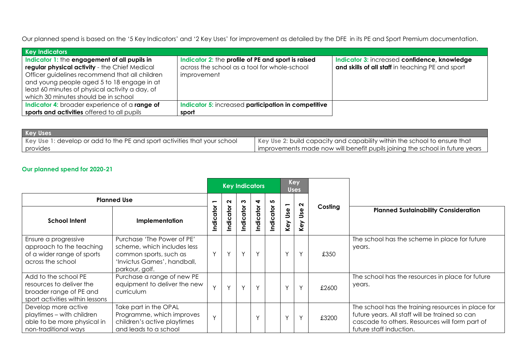Our planned spend is based on the '5 Key Indicators' and '2 Key Uses' for improvement as detailed by the DFE in its PE and Sport Premium documentation.

| <b>Key Indicators</b>                                                                                                                                                                                                                                                                    |                                                                                                                   |                                                                                                  |
|------------------------------------------------------------------------------------------------------------------------------------------------------------------------------------------------------------------------------------------------------------------------------------------|-------------------------------------------------------------------------------------------------------------------|--------------------------------------------------------------------------------------------------|
| Indicator 1: the engagement of all pupils in<br>regular physical activity - the Chief Medical<br>Officer guidelines recommend that all children<br>and young people aged 5 to 18 engage in at<br>least 60 minutes of physical activity a day, of<br>which 30 minutes should be in school | Indicator 2: the profile of PE and sport is raised<br>across the school as a tool for whole-school<br>improvement | Indicator 3: increased confidence, knowledge<br>and skills of all staff in teaching PE and sport |
| Indicator 4: broader experience of a range of<br>sports and activities offered to all pupils                                                                                                                                                                                             | Indicator 5: increased participation in competitive<br>sport                                                      |                                                                                                  |

| <b>Key Uses</b>                                                           |                                                                                |
|---------------------------------------------------------------------------|--------------------------------------------------------------------------------|
| Key Use 1: develop or add to the PE and sport activities that your school | Key Use 2: build capacity and capability within the school to ensure that      |
| provides                                                                  | I improvements made now will benefit pupils joining the school in future years |

## **Our planned spend for 2020-21**

|                                                                                                                |                                                                                                                                      | <b>Key Indicators</b> |          |          |              | <b>Key</b><br><b>Uses</b> |                          |                   |         |                                                                                                                                                                                   |
|----------------------------------------------------------------------------------------------------------------|--------------------------------------------------------------------------------------------------------------------------------------|-----------------------|----------|----------|--------------|---------------------------|--------------------------|-------------------|---------|-----------------------------------------------------------------------------------------------------------------------------------------------------------------------------------|
| <b>Planned Use</b>                                                                                             |                                                                                                                                      |                       | $\sim$   | 3        | 4            | <u> ທ</u>                 | $\overline{\phantom{0}}$ | $\mathbf{\Omega}$ |         |                                                                                                                                                                                   |
| <b>School Intent</b>                                                                                           | Implementation                                                                                                                       | Indicator             | ndicator | ndicator | ndicator     | ndicator                  | Key Use                  | Use<br>Key        | Costing | <b>Planned Sustainability Consideration</b>                                                                                                                                       |
| Ensure a progressive<br>approach to the teaching<br>of a wider range of sports<br>across the school            | Purchase 'The Power of PE'<br>scheme, which includes less<br>common sports, such as<br>'Invictus Games', handball,<br>parkour, golf. | Υ                     | Y        | Y        | $\checkmark$ |                           | $\checkmark$             | $\vee$            | £350    | The school has the scheme in place for future<br>years.                                                                                                                           |
| Add to the school PE<br>resources to deliver the<br>broader range of PE and<br>sport activities within lessons | Purchase a range of new PE<br>equipment to deliver the new<br>curriculum                                                             | $\checkmark$          | $\vee$   | Y        | $\sqrt{}$    |                           | $\checkmark$             | $\checkmark$      | £2600   | The school has the resources in place for future<br>years.                                                                                                                        |
| Develop more active<br>playtimes - with children<br>able to be more physical in<br>non-traditional ways        | Take part in the OPAL<br>Programme, which improves<br>children's active playtimes<br>and leads to a school                           | $\checkmark$          |          |          | $\vee$       |                           | $\checkmark$             | $\checkmark$      | £3200   | The school has the training resources in place for<br>future years. All staff will be trained so can<br>cascade to others. Resources will form part of<br>future staff induction. |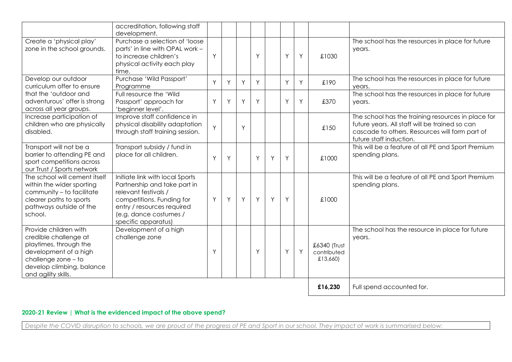|                                                                                                                                                                              | accreditation, following staff<br>development.                                                                                                                                                      |   |   |   |   |   |   |   |                                         |                                                                                                                                                                                   |
|------------------------------------------------------------------------------------------------------------------------------------------------------------------------------|-----------------------------------------------------------------------------------------------------------------------------------------------------------------------------------------------------|---|---|---|---|---|---|---|-----------------------------------------|-----------------------------------------------------------------------------------------------------------------------------------------------------------------------------------|
| Create a 'physical play'<br>zone in the school grounds.                                                                                                                      | Purchase a selection of 'loose<br>parts' in line with OPAL work -<br>to increase children's<br>physical activity each play<br>time.                                                                 | Y |   |   | Y |   | Y | Y | £1030                                   | The school has the resources in place for future<br>years.                                                                                                                        |
| Develop our outdoor<br>curriculum offer to ensure                                                                                                                            | Purchase 'Wild Passport'<br>Programme                                                                                                                                                               | Y | Y | Y | Y |   | Y | Y | £190                                    | The school has the resources in place for future<br>years.                                                                                                                        |
| that the 'outdoor and<br>adventurous' offer is strong<br>across all year groups.                                                                                             | Full resource the 'Wild<br>Passport' approach for<br>'beginner level'.                                                                                                                              | Y | Y | Y | Y |   | Y | Y | £370                                    | The school has the resources in place for future<br>years.                                                                                                                        |
| Increase participation of<br>children who are physically<br>disabled.                                                                                                        | Improve staff confidence in<br>physical disability adaptation<br>through staff training session.                                                                                                    | Y |   | Y |   |   |   |   | £150                                    | The school has the training resources in place for<br>future years. All staff will be trained so can<br>cascade to others. Resources will form part of<br>future staff induction. |
| Transport will not be a<br>barrier to attending PE and<br>sport competitions across<br>our Trust / Sports network                                                            | Transport subsidy / fund in<br>place for all children.                                                                                                                                              | Y | Y |   | Y | Y | Y |   | £1000                                   | This will be a feature of all PE and Sport Premium<br>spending plans.                                                                                                             |
| The school will cement itself<br>within the wider sporting<br>community - to facilitate<br>clearer paths to sports<br>pathways outside of the<br>school.                     | Initiate link with local Sports<br>Partnership and take part in<br>relevant festivals /<br>competitions. Funding for<br>entry / resources required<br>(e.g. dance costumes /<br>specific apparatus) | Y | Y | Y | Y | Y | Y |   | £1000                                   | This will be a feature of all PE and Sport Premium<br>spending plans.                                                                                                             |
| Provide children with<br>credible challenge at<br>playtimes, through the<br>development of a high<br>challenge zone - to<br>develop climbing, balance<br>and agility skills. | Development of a high<br>challenge zone                                                                                                                                                             | Y |   |   | Y |   | Y | Y | £6340 (Trust<br>contributed<br>£13,660) | The school has the resource in place for future<br>years.                                                                                                                         |
|                                                                                                                                                                              |                                                                                                                                                                                                     |   |   |   |   |   |   |   | £16,230                                 | Full spend accounted for.                                                                                                                                                         |

## **2020-21 Review | What is the evidenced impact of the above spend?**

*Despite the COVID disruption to schools, we are proud of the progress of PE and Sport in our school. They impact of work is summarised below:*